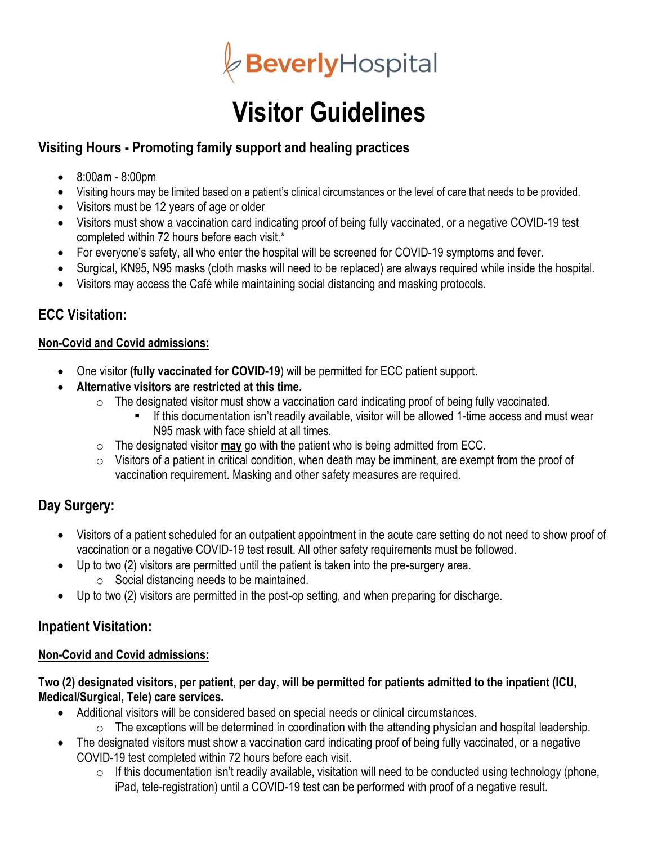

# **Visitor Guidelines**

# **Visiting Hours - Promoting family support and healing practices**

- $\bullet$  8:00am 8:00pm
- Visiting hours may be limited based on a patient's clinical circumstances or the level of care that needs to be provided.
- Visitors must be 12 years of age or older
- Visitors must show a vaccination card indicating proof of being fully vaccinated, or a negative COVID-19 test completed within 72 hours before each visit.\*
- For everyone's safety, all who enter the hospital will be screened for COVID-19 symptoms and fever.
- Surgical, KN95, N95 masks (cloth masks will need to be replaced) are always required while inside the hospital.
- Visitors may access the Café while maintaining social distancing and masking protocols.

## **ECC Visitation:**

#### **Non-Covid and Covid admissions:**

- One visitor **(fully vaccinated for COVID-19**) will be permitted for ECC patient support.
- **Alternative visitors are restricted at this time.**
	- $\circ$  The designated visitor must show a vaccination card indicating proof of being fully vaccinated.
		- If this documentation isn't readily available, visitor will be allowed 1-time access and must wear N95 mask with face shield at all times.
	- o The designated visitor **may** go with the patient who is being admitted from ECC.
	- $\circ$  Visitors of a patient in critical condition, when death may be imminent, are exempt from the proof of vaccination requirement. Masking and other safety measures are required.

# **Day Surgery:**

- Visitors of a patient scheduled for an outpatient appointment in the acute care setting do not need to show proof of vaccination or a negative COVID-19 test result. All other safety requirements must be followed.
- Up to two (2) visitors are permitted until the patient is taken into the pre-surgery area.  $\circ$  Social distancing needs to be maintained.
- Up to two (2) visitors are permitted in the post-op setting, and when preparing for discharge.

## **Inpatient Visitation:**

#### **Non-Covid and Covid admissions:**

#### **Two (2) designated visitors, per patient, per day, will be permitted for patients admitted to the inpatient (ICU, Medical/Surgical, Tele) care services.**

- Additional visitors will be considered based on special needs or clinical circumstances.
	- $\circ$  The exceptions will be determined in coordination with the attending physician and hospital leadership.
- The designated visitors must show a vaccination card indicating proof of being fully vaccinated, or a negative COVID-19 test completed within 72 hours before each visit.
	- $\circ$  If this documentation isn't readily available, visitation will need to be conducted using technology (phone, iPad, tele-registration) until a COVID-19 test can be performed with proof of a negative result.